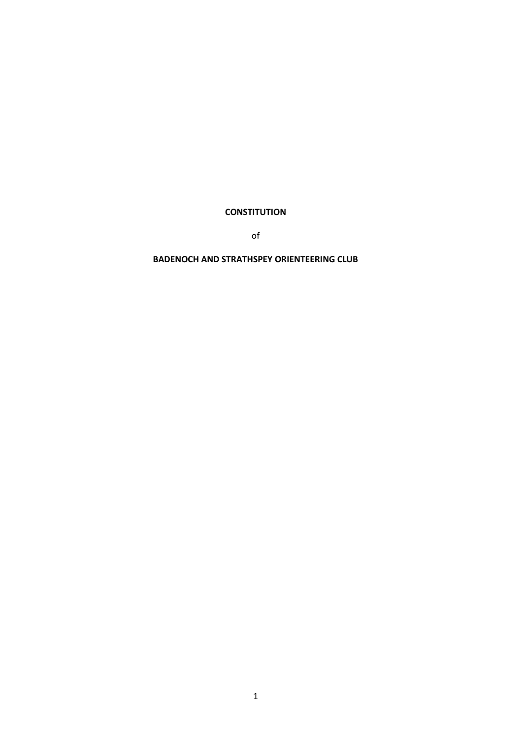**CONSTITUTION** 

of

# **BADENOCH AND STRATHSPEY ORIENTEERING CLUB**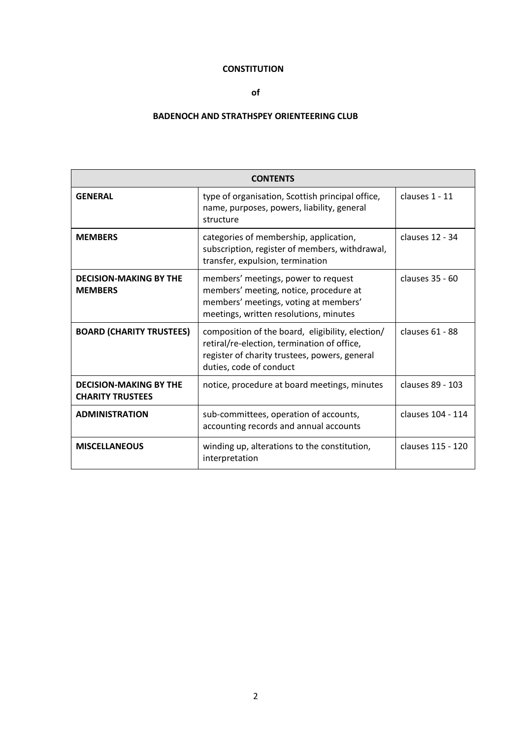# **CONSTITUTION**

# **of**

# **BADENOCH AND STRATHSPEY ORIENTEERING CLUB**

| <b>CONTENTS</b>                                          |                                                                                                                                                                             |                   |
|----------------------------------------------------------|-----------------------------------------------------------------------------------------------------------------------------------------------------------------------------|-------------------|
| <b>GENERAL</b>                                           | type of organisation, Scottish principal office,<br>name, purposes, powers, liability, general<br>structure                                                                 | clauses 1 - 11    |
| <b>MEMBERS</b>                                           | categories of membership, application,<br>subscription, register of members, withdrawal,<br>transfer, expulsion, termination                                                | clauses 12 - 34   |
| <b>DECISION-MAKING BY THE</b><br><b>MEMBERS</b>          | members' meetings, power to request<br>members' meeting, notice, procedure at<br>members' meetings, voting at members'<br>meetings, written resolutions, minutes            | clauses 35 - 60   |
| <b>BOARD (CHARITY TRUSTEES)</b>                          | composition of the board, eligibility, election/<br>retiral/re-election, termination of office,<br>register of charity trustees, powers, general<br>duties, code of conduct | clauses 61 - 88   |
| <b>DECISION-MAKING BY THE</b><br><b>CHARITY TRUSTEES</b> | notice, procedure at board meetings, minutes                                                                                                                                | clauses 89 - 103  |
| <b>ADMINISTRATION</b>                                    | sub-committees, operation of accounts,<br>accounting records and annual accounts                                                                                            | clauses 104 - 114 |
| <b>MISCELLANEOUS</b>                                     | winding up, alterations to the constitution,<br>interpretation                                                                                                              | clauses 115 - 120 |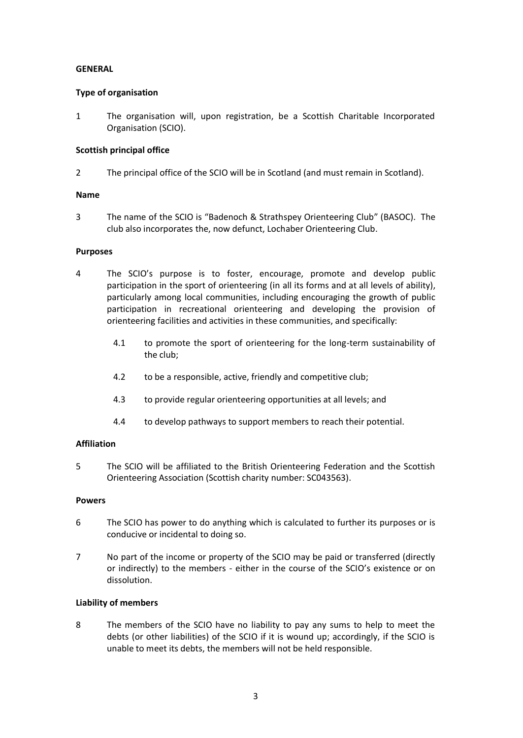# **GENERAL**

# **Type of organisation**

1 The organisation will, upon registration, be a Scottish Charitable Incorporated Organisation (SCIO).

# **Scottish principal office**

2 The principal office of the SCIO will be in Scotland (and must remain in Scotland).

# **Name**

3 The name of the SCIO is "Badenoch & Strathspey Orienteering Club" (BASOC). The club also incorporates the, now defunct, Lochaber Orienteering Club.

# **Purposes**

- 4 The SCIO's purpose is to foster, encourage, promote and develop public participation in the sport of orienteering (in all its forms and at all levels of ability), particularly among local communities, including encouraging the growth of public participation in recreational orienteering and developing the provision of orienteering facilities and activities in these communities, and specifically:
	- 4.1 to promote the sport of orienteering for the long-term sustainability of the club;
	- 4.2 to be a responsible, active, friendly and competitive club;
	- 4.3 to provide regular orienteering opportunities at all levels; and
	- 4.4 to develop pathways to support members to reach their potential.

# **Affiliation**

5 The SCIO will be affiliated to the British Orienteering Federation and the Scottish Orienteering Association (Scottish charity number: SC043563).

# **Powers**

- 6 The SCIO has power to do anything which is calculated to further its purposes or is conducive or incidental to doing so.
- 7 No part of the income or property of the SCIO may be paid or transferred (directly or indirectly) to the members - either in the course of the SCIO's existence or on dissolution.

# **Liability of members**

8 The members of the SCIO have no liability to pay any sums to help to meet the debts (or other liabilities) of the SCIO if it is wound up; accordingly, if the SCIO is unable to meet its debts, the members will not be held responsible.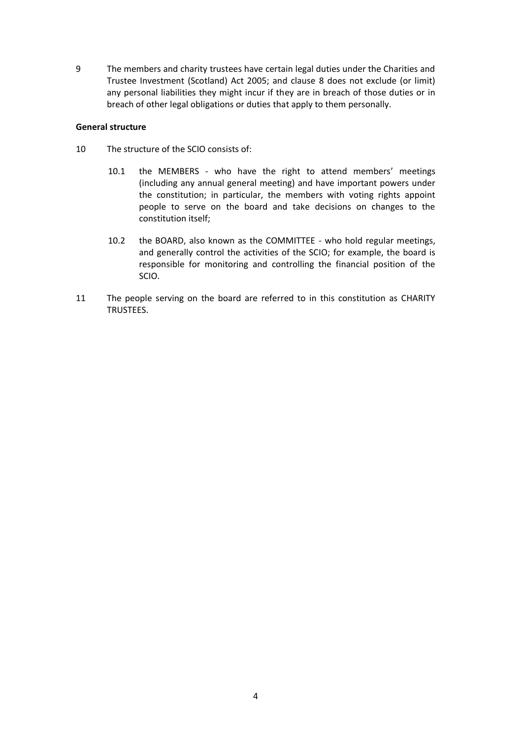9 The members and charity trustees have certain legal duties under the Charities and Trustee Investment (Scotland) Act 2005; and clause 8 does not exclude (or limit) any personal liabilities they might incur if they are in breach of those duties or in breach of other legal obligations or duties that apply to them personally.

### **General structure**

- 10 The structure of the SCIO consists of:
	- 10.1 the MEMBERS who have the right to attend members' meetings (including any annual general meeting) and have important powers under the constitution; in particular, the members with voting rights appoint people to serve on the board and take decisions on changes to the constitution itself;
	- 10.2 the BOARD, also known as the COMMITTEE who hold regular meetings, and generally control the activities of the SCIO; for example, the board is responsible for monitoring and controlling the financial position of the SCIO.
- 11 The people serving on the board are referred to in this constitution as CHARITY TRUSTEES.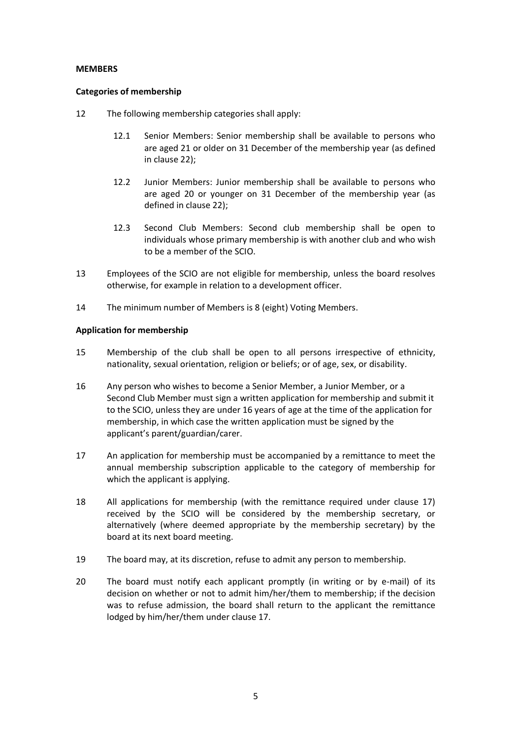### **MEMBERS**

### **Categories of membership**

- <span id="page-4-0"></span>12 The following membership categories shall apply:
	- 12.1 Senior Members: Senior membership shall be available to persons who are aged 21 or older on 31 December of the membership year (as defined in clause 22);
	- 12.2 Junior Members: Junior membership shall be available to persons who are aged 20 or younger on 31 December of the membership year (as defined in clause 22);
	- 12.3 Second Club Members: Second club membership shall be open to individuals whose primary membership is with another club and who wish to be a member of the SCIO.
- 13 Employees of the SCIO are not eligible for membership, unless the board resolves otherwise, for example in relation to a development officer.
- 14 The minimum number of Members is 8 (eight) Voting Members.

### **Application for membership**

- 15 Membership of the club shall be open to all persons irrespective of ethnicity, nationality, sexual orientation, religion or beliefs; or of age, sex, or disability.
- 16 Any person who wishes to become a Senior Member, a Junior Member, or a Second Club Member must sign a written application for membership and submit it to the SCIO, unless they are under 16 years of age at the time of the application for membership, in which case the written application must be signed by the applicant's parent/guardian/carer.
- 17 An application for membership must be accompanied by a remittance to meet the annual membership subscription applicable to the category of membership for which the applicant is applying.
- 18 All applications for membership (with the remittance required under clause 17) received by the SCIO will be considered by the membership secretary, or alternatively (where deemed appropriate by the membership secretary) by the board at its next board meeting.
- 19 The board may, at its discretion, refuse to admit any person to membership.
- 20 The board must notify each applicant promptly (in writing or by e-mail) of its decision on whether or not to admit him/her/them to membership; if the decision was to refuse admission, the board shall return to the applicant the remittance lodged by him/her/them under clause 17.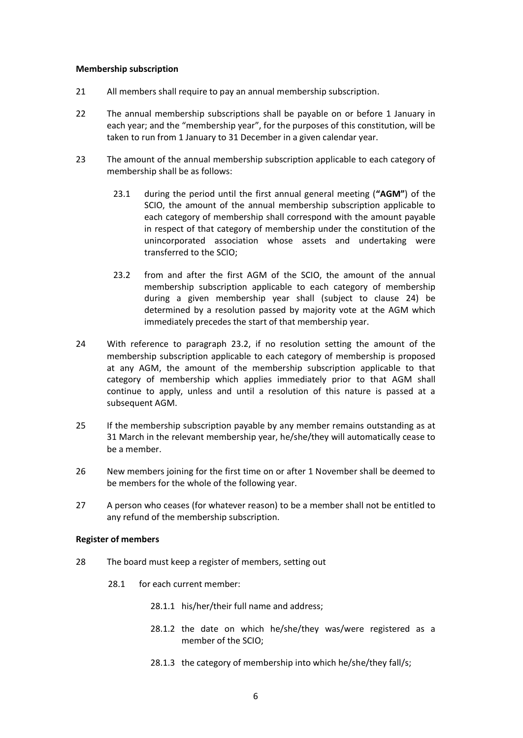### **Membership subscription**

- 21 All members shall require to pay an annual membership subscription.
- 22 The annual membership subscriptions shall be payable on or before 1 January in each year; and the "membership year", for the purposes of this constitution, will be taken to run from 1 January to 31 December in a given calendar year.
- 23 The amount of the annual membership subscription applicable to each category of membership shall be as follows:
	- 23.1 during the period until the first annual general meeting (**"AGM"**) of the SCIO, the amount of the annual membership subscription applicable to each category of membership shall correspond with the amount payable in respect of that category of membership under the constitution of the unincorporated association whose assets and undertaking were transferred to the SCIO;
	- 23.2 from and after the first AGM of the SCIO, the amount of the annual membership subscription applicable to each category of membership during a given membership year shall (subject to clause 24) be determined by a resolution passed by majority vote at the AGM which immediately precedes the start of that membership year.
- 24 With reference to paragraph 23.2, if no resolution setting the amount of the membership subscription applicable to each category of membership is proposed at any AGM, the amount of the membership subscription applicable to that category of membership which applies immediately prior to that AGM shall continue to apply, unless and until a resolution of this nature is passed at a subsequent AGM.
- 25 If the membership subscription payable by any member remains outstanding as at 31 March in the relevant membership year, he/she/they will automatically cease to be a member.
- 26 New members joining for the first time on or after 1 November shall be deemed to be members for the whole of the following year.
- 27 A person who ceases (for whatever reason) to be a member shall not be entitled to any refund of the membership subscription.

# **Register of members**

- 28 The board must keep a register of members, setting out
	- 28.1 for each current member:
		- 28.1.1 his/her/their full name and address;
		- 28.1.2 the date on which he/she/they was/were registered as a member of the SCIO;
		- 28.1.3 the category of membership into which he/she/they fall/s;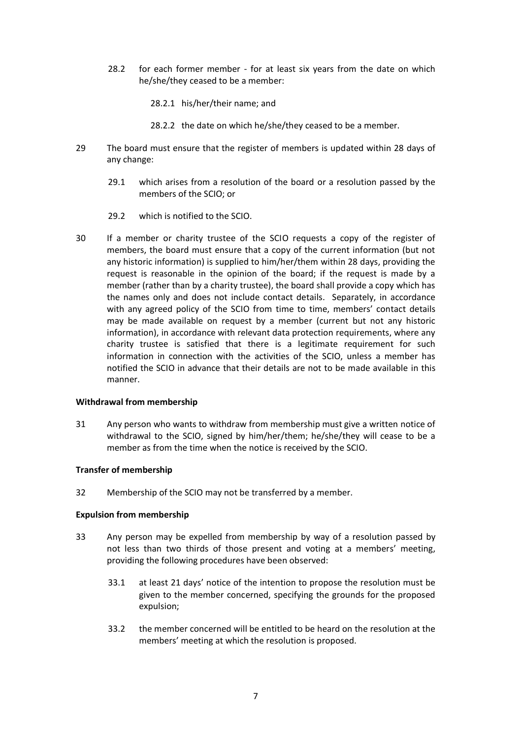28.2 for each former member - for at least six years from the date on which he/she/they ceased to be a member:

28.2.1 his/her/their name; and

- 28.2.2 the date on which he/she/they ceased to be a member.
- 29 The board must ensure that the register of members is updated within 28 days of any change:
	- 29.1 which arises from a resolution of the board or a resolution passed by the members of the SCIO; or
	- 29.2 which is notified to the SCIO.
- 30 If a member or charity trustee of the SCIO requests a copy of the register of members, the board must ensure that a copy of the current information (but not any historic information) is supplied to him/her/them within 28 days, providing the request is reasonable in the opinion of the board; if the request is made by a member (rather than by a charity trustee), the board shall provide a copy which has the names only and does not include contact details. Separately, in accordance with any agreed policy of the SCIO from time to time, members' contact details may be made available on request by a member (current but not any historic information), in accordance with relevant data protection requirements, where any charity trustee is satisfied that there is a legitimate requirement for such information in connection with the activities of the SCIO, unless a member has notified the SCIO in advance that their details are not to be made available in this manner.

### **Withdrawal from membership**

31 Any person who wants to withdraw from membership must give a written notice of withdrawal to the SCIO, signed by him/her/them; he/she/they will cease to be a member as from the time when the notice is received by the SCIO.

# **Transfer of membership**

32 Membership of the SCIO may not be transferred by a member.

# **Expulsion from membership**

- 33 Any person may be expelled from membership by way of a resolution passed by not less than two thirds of those present and voting at a members' meeting, providing the following procedures have been observed:
	- 33.1 at least 21 days' notice of the intention to propose the resolution must be given to the member concerned, specifying the grounds for the proposed expulsion;
	- 33.2 the member concerned will be entitled to be heard on the resolution at the members' meeting at which the resolution is proposed.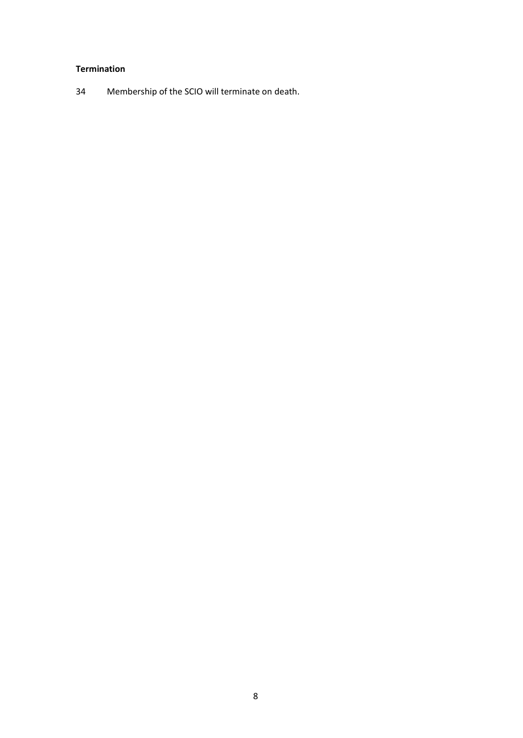# **Termination**

Membership of the SCIO will terminate on death.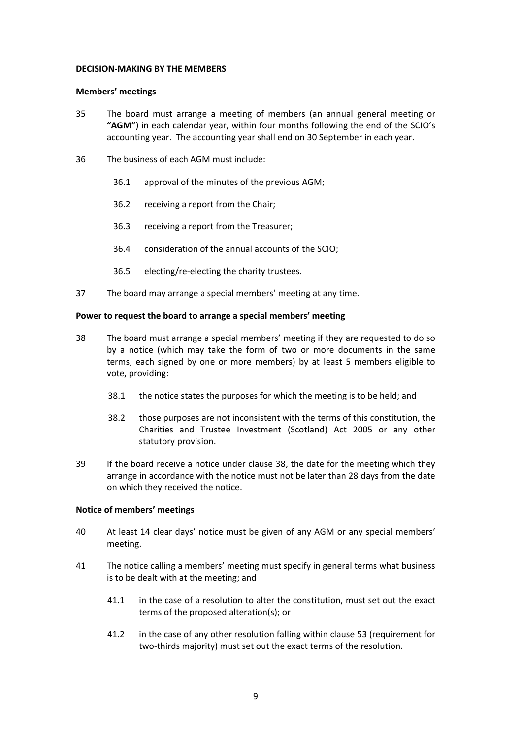### **DECISION-MAKING BY THE MEMBERS**

### **Members' meetings**

- 35 The board must arrange a meeting of members (an annual general meeting or **"AGM"**) in each calendar year, within four months following the end of the SCIO's accounting year. The accounting year shall end on 30 September in each year.
- 36 The business of each AGM must include:
	- 36.1 approval of the minutes of the previous AGM;
	- 36.2 receiving a report from the Chair;
	- 36.3 receiving a report from the Treasurer;
	- 36.4 consideration of the annual accounts of the SCIO;
	- 36.5 electing/re-electing the charity trustees.
- 37 The board may arrange a special members' meeting at any time.

### **Power to request the board to arrange a special members' meeting**

- 38 The board must arrange a special members' meeting if they are requested to do so by a notice (which may take the form of two or more documents in the same terms, each signed by one or more members) by at least 5 members eligible to vote, providing:
	- 38.1 the notice states the purposes for which the meeting is to be held; and
	- 38.2 those purposes are not inconsistent with the terms of this constitution, the Charities and Trustee Investment (Scotland) Act 2005 or any other statutory provision.
- 39 If the board receive a notice under clause 38, the date for the meeting which they arrange in accordance with the notice must not be later than 28 days from the date on which they received the notice.

### **Notice of members' meetings**

- 40 At least 14 clear days' notice must be given of any AGM or any special members' meeting.
- 41 The notice calling a members' meeting must specify in general terms what business is to be dealt with at the meeting; and
	- 41.1 in the case of a resolution to alter the constitution, must set out the exact terms of the proposed alteration(s); or
	- 41.2 in the case of any other resolution falling within clause 53 (requirement for two-thirds majority) must set out the exact terms of the resolution.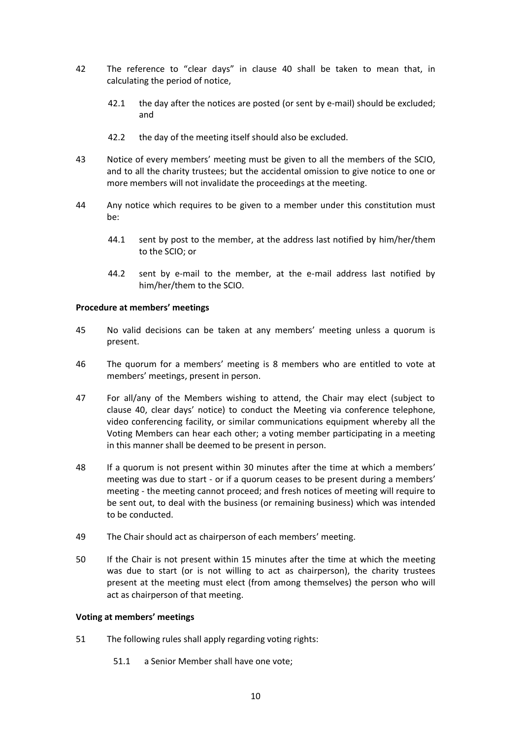- 42 The reference to "clear days" in clause 40 shall be taken to mean that, in calculating the period of notice,
	- 42.1 the day after the notices are posted (or sent by e-mail) should be excluded; and
	- 42.2 the day of the meeting itself should also be excluded.
- 43 Notice of every members' meeting must be given to all the members of the SCIO, and to all the charity trustees; but the accidental omission to give notice to one or more members will not invalidate the proceedings at the meeting.
- 44 Any notice which requires to be given to a member under this constitution must be:
	- 44.1 sent by post to the member, at the address last notified by him/her/them to the SCIO; or
	- 44.2 sent by e-mail to the member, at the e-mail address last notified by him/her/them to the SCIO.

# **Procedure at members' meetings**

- 45 No valid decisions can be taken at any members' meeting unless a quorum is present.
- 46 The quorum for a members' meeting is 8 members who are entitled to vote at members' meetings, present in person.
- 47 For all/any of the Members wishing to attend, the Chair may elect (subject to clause 40, clear days' notice) to conduct the Meeting via conference telephone, video conferencing facility, or similar communications equipment whereby all the Voting Members can hear each other; a voting member participating in a meeting in this manner shall be deemed to be present in person.
- 48 If a quorum is not present within 30 minutes after the time at which a members' meeting was due to start - or if a quorum ceases to be present during a members' meeting - the meeting cannot proceed; and fresh notices of meeting will require to be sent out, to deal with the business (or remaining business) which was intended to be conducted.
- 49 The Chair should act as chairperson of each members' meeting.
- 50 If the Chair is not present within 15 minutes after the time at which the meeting was due to start (or is not willing to act as chairperson), the charity trustees present at the meeting must elect (from among themselves) the person who will act as chairperson of that meeting.

# **Voting at members' meetings**

- 51 The following rules shall apply regarding voting rights:
	- 51.1 a Senior Member shall have one vote;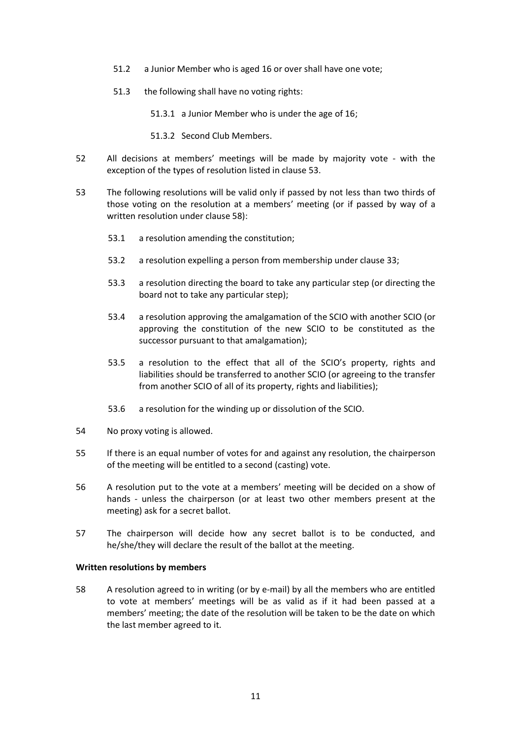- 51.2 a Junior Member who is aged 16 or over shall have one vote;
- 51.3 the following shall have no voting rights:

51.3.1 a Junior Member who is under the age of 16;

- 51.3.2 Second Club Members.
- 52 All decisions at members' meetings will be made by majority vote with the exception of the types of resolution listed in clause 53.
- 53 The following resolutions will be valid only if passed by not less than two thirds of those voting on the resolution at a members' meeting (or if passed by way of a written resolution under clause 58):
	- 53.1 a resolution amending the constitution;
	- 53.2 a resolution expelling a person from membership under clause 33;
	- 53.3 a resolution directing the board to take any particular step (or directing the board not to take any particular step);
	- 53.4 a resolution approving the amalgamation of the SCIO with another SCIO (or approving the constitution of the new SCIO to be constituted as the successor pursuant to that amalgamation);
	- 53.5 a resolution to the effect that all of the SCIO's property, rights and liabilities should be transferred to another SCIO (or agreeing to the transfer from another SCIO of all of its property, rights and liabilities);
	- 53.6 a resolution for the winding up or dissolution of the SCIO.
- 54 No proxy voting is allowed.
- 55 If there is an equal number of votes for and against any resolution, the chairperson of the meeting will be entitled to a second (casting) vote.
- 56 A resolution put to the vote at a members' meeting will be decided on a show of hands - unless the chairperson (or at least two other members present at the meeting) ask for a secret ballot.
- 57 The chairperson will decide how any secret ballot is to be conducted, and he/she/they will declare the result of the ballot at the meeting.

### **Written resolutions by members**

58 A resolution agreed to in writing (or by e-mail) by all the members who are entitled to vote at members' meetings will be as valid as if it had been passed at a members' meeting; the date of the resolution will be taken to be the date on which the last member agreed to it.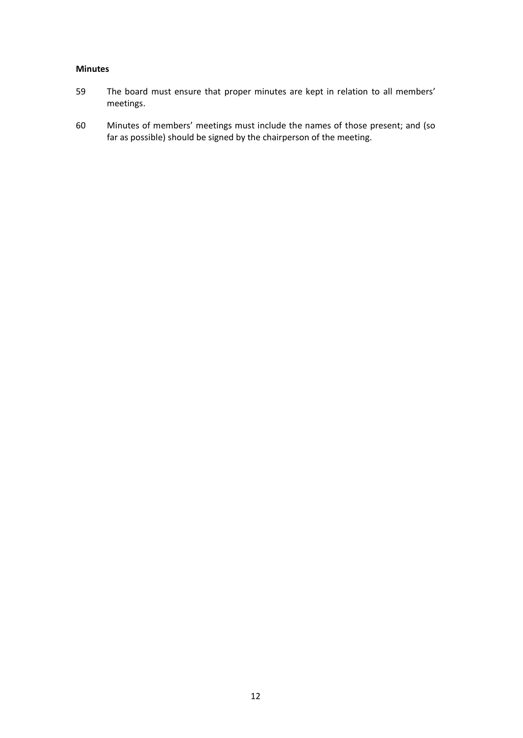# **Minutes**

- 59 The board must ensure that proper minutes are kept in relation to all members' meetings.
- 60 Minutes of members' meetings must include the names of those present; and (so far as possible) should be signed by the chairperson of the meeting.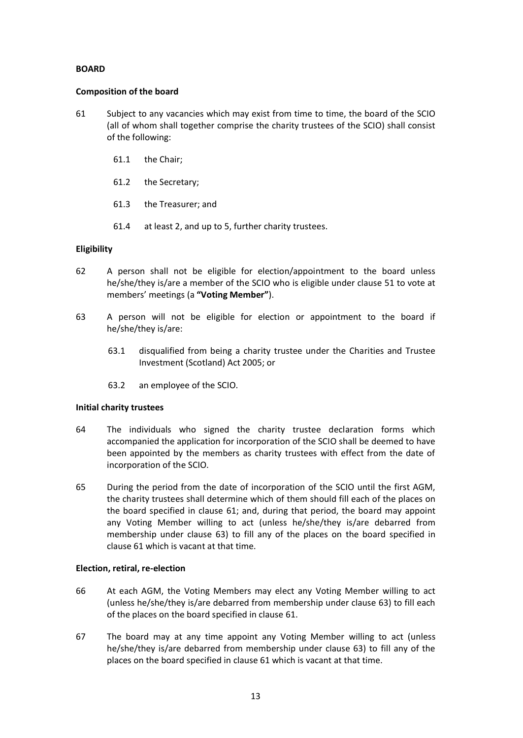# **BOARD**

### **Composition of the board**

- 61 Subject to any vacancies which may exist from time to time, the board of the SCIO (all of whom shall together comprise the charity trustees of the SCIO) shall consist of the following:
	- 61.1 the Chair;
	- 61.2 the Secretary;
	- 61.3 the Treasurer; and
	- 61.4 at least 2, and up to 5, further charity trustees.

# **Eligibility**

- 62 A person shall not be eligible for election/appointment to the board unless he/she/they is/are a member of the SCIO who is eligible under clause 51 to vote at members' meetings (a **"Voting Member"**).
- 63 A person will not be eligible for election or appointment to the board if he/she/they is/are:
	- 63.1 disqualified from being a charity trustee under the Charities and Trustee Investment (Scotland) Act 2005; or
	- 63.2 an employee of the SCIO.

### **Initial charity trustees**

- 64 The individuals who signed the charity trustee declaration forms which accompanied the application for incorporation of the SCIO shall be deemed to have been appointed by the members as charity trustees with effect from the date of incorporation of the SCIO.
- 65 During the period from the date of incorporation of the SCIO until the first AGM, the charity trustees shall determine which of them should fill each of the places on the board specified in clause 61; and, during that period, the board may appoint any Voting Member willing to act (unless he/she/they is/are debarred from membership under clause 63) to fill any of the places on the board specified in clause 61 which is vacant at that time.

### **Election, retiral, re-election**

- 66 At each AGM, the Voting Members may elect any Voting Member willing to act (unless he/she/they is/are debarred from membership under clause 63) to fill each of the places on the board specified in clause 61.
- 67 The board may at any time appoint any Voting Member willing to act (unless he/she/they is/are debarred from membership under clause 63) to fill any of the places on the board specified in clause 61 which is vacant at that time.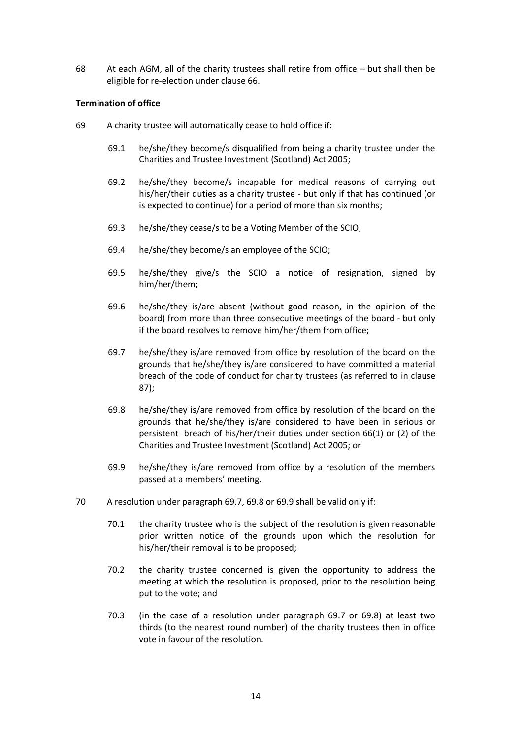68 At each AGM, all of the charity trustees shall retire from office – but shall then be eligible for re-election under clause 66.

# **Termination of office**

- 69 A charity trustee will automatically cease to hold office if:
	- 69.1 he/she/they become/s disqualified from being a charity trustee under the Charities and Trustee Investment (Scotland) Act 2005;
	- 69.2 he/she/they become/s incapable for medical reasons of carrying out his/her/their duties as a charity trustee - but only if that has continued (or is expected to continue) for a period of more than six months;
	- 69.3 he/she/they cease/s to be a Voting Member of the SCIO;
	- 69.4 he/she/they become/s an employee of the SCIO;
	- 69.5 he/she/they give/s the SCIO a notice of resignation, signed by him/her/them;
	- 69.6 he/she/they is/are absent (without good reason, in the opinion of the board) from more than three consecutive meetings of the board - but only if the board resolves to remove him/her/them from office;
	- 69.7 he/she/they is/are removed from office by resolution of the board on the grounds that he/she/they is/are considered to have committed a material breach of the code of conduct for charity trustees (as referred to in clause 87);
	- 69.8 he/she/they is/are removed from office by resolution of the board on the grounds that he/she/they is/are considered to have been in serious or persistent breach of his/her/their duties under section 66(1) or (2) of the Charities and Trustee Investment (Scotland) Act 2005; or
	- 69.9 he/she/they is/are removed from office by a resolution of the members passed at a members' meeting.
- 70 A resolution under paragraph 69.7, 69.8 or 69.9 shall be valid only if:
	- 70.1 the charity trustee who is the subject of the resolution is given reasonable prior written notice of the grounds upon which the resolution for his/her/their removal is to be proposed;
	- 70.2 the charity trustee concerned is given the opportunity to address the meeting at which the resolution is proposed, prior to the resolution being put to the vote; and
	- 70.3 (in the case of a resolution under paragraph 69.7 or 69.8) at least two thirds (to the nearest round number) of the charity trustees then in office vote in favour of the resolution.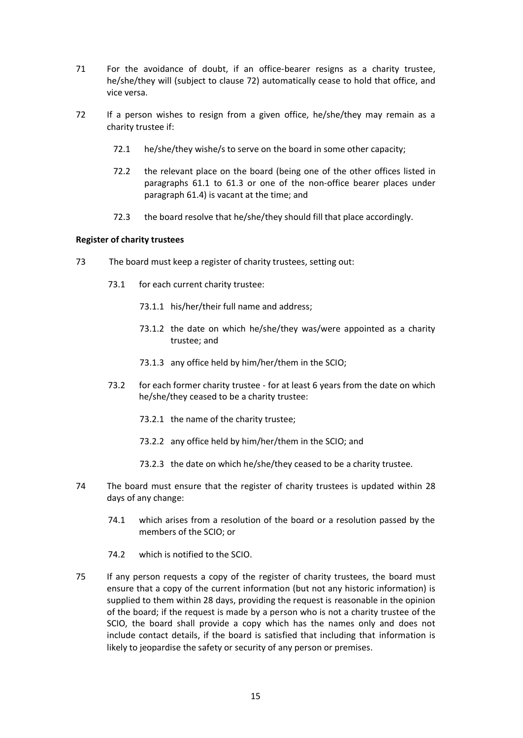- 71 For the avoidance of doubt, if an office-bearer resigns as a charity trustee, he/she/they will (subject to clause 72) automatically cease to hold that office, and vice versa.
- 72 If a person wishes to resign from a given office, he/she/they may remain as a charity trustee if:
	- 72.1 he/she/they wishe/s to serve on the board in some other capacity;
	- 72.2 the relevant place on the board (being one of the other offices listed in paragraphs 61.1 to 61.3 or one of the non-office bearer places under paragraph 61.4) is vacant at the time; and
	- 72.3 the board resolve that he/she/they should fill that place accordingly.

# **Register of charity trustees**

- 73 The board must keep a register of charity trustees, setting out:
	- 73.1 for each current charity trustee:
		- 73.1.1 his/her/their full name and address;
		- 73.1.2 the date on which he/she/they was/were appointed as a charity trustee; and
		- 73.1.3 any office held by him/her/them in the SCIO;
	- 73.2 for each former charity trustee for at least 6 years from the date on which he/she/they ceased to be a charity trustee:
		- 73.2.1 the name of the charity trustee;
		- 73.2.2 any office held by him/her/them in the SCIO; and
		- 73.2.3 the date on which he/she/they ceased to be a charity trustee.
- 74 The board must ensure that the register of charity trustees is updated within 28 days of any change:
	- 74.1 which arises from a resolution of the board or a resolution passed by the members of the SCIO; or
	- 74.2 which is notified to the SCIO.
- 75 If any person requests a copy of the register of charity trustees, the board must ensure that a copy of the current information (but not any historic information) is supplied to them within 28 days, providing the request is reasonable in the opinion of the board; if the request is made by a person who is not a charity trustee of the SCIO, the board shall provide a copy which has the names only and does not include contact details, if the board is satisfied that including that information is likely to jeopardise the safety or security of any person or premises.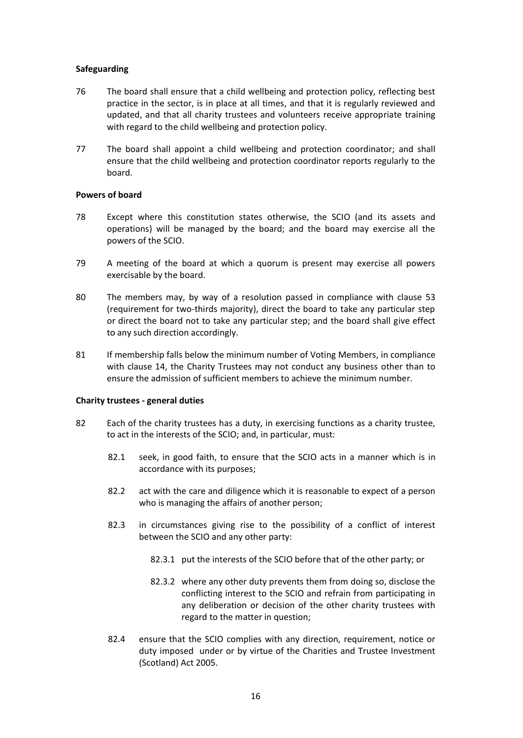# **Safeguarding**

- 76 The board shall ensure that a child wellbeing and protection policy, reflecting best practice in the sector, is in place at all times, and that it is regularly reviewed and updated, and that all charity trustees and volunteers receive appropriate training with regard to the child wellbeing and protection policy.
- 77 The board shall appoint a child wellbeing and protection coordinator; and shall ensure that the child wellbeing and protection coordinator reports regularly to the board.

# **Powers of board**

- 78 Except where this constitution states otherwise, the SCIO (and its assets and operations) will be managed by the board; and the board may exercise all the powers of the SCIO.
- 79 A meeting of the board at which a quorum is present may exercise all powers exercisable by the board.
- 80 The members may, by way of a resolution passed in compliance with clause 53 (requirement for two-thirds majority), direct the board to take any particular step or direct the board not to take any particular step; and the board shall give effect to any such direction accordingly.
- 81 If membership falls below the minimum number of Voting Members, in compliance with clause 14, the Charity Trustees may not conduct any business other than to ensure the admission of sufficient members to achieve the minimum number.

# **Charity trustees - general duties**

- 82 Each of the charity trustees has a duty, in exercising functions as a charity trustee, to act in the interests of the SCIO; and, in particular, must:
	- 82.1 seek, in good faith, to ensure that the SCIO acts in a manner which is in accordance with its purposes;
	- 82.2 act with the care and diligence which it is reasonable to expect of a person who is managing the affairs of another person;
	- 82.3 in circumstances giving rise to the possibility of a conflict of interest between the SCIO and any other party:
		- 82.3.1 put the interests of the SCIO before that of the other party; or
		- 82.3.2 where any other duty prevents them from doing so, disclose the conflicting interest to the SCIO and refrain from participating in any deliberation or decision of the other charity trustees with regard to the matter in question;
	- 82.4 ensure that the SCIO complies with any direction, requirement, notice or duty imposed under or by virtue of the Charities and Trustee Investment (Scotland) Act 2005.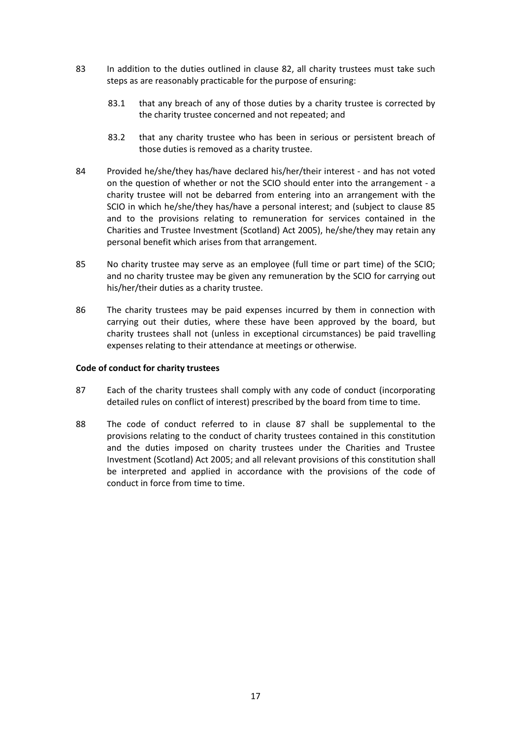- 83 In addition to the duties outlined in clause 82, all charity trustees must take such steps as are reasonably practicable for the purpose of ensuring:
	- 83.1 that any breach of any of those duties by a charity trustee is corrected by the charity trustee concerned and not repeated; and
	- 83.2 that any charity trustee who has been in serious or persistent breach of those duties is removed as a charity trustee.
- 84 Provided he/she/they has/have declared his/her/their interest and has not voted on the question of whether or not the SCIO should enter into the arrangement - a charity trustee will not be debarred from entering into an arrangement with the SCIO in which he/she/they has/have a personal interest; and (subject to clause 85 and to the provisions relating to remuneration for services contained in the Charities and Trustee Investment (Scotland) Act 2005), he/she/they may retain any personal benefit which arises from that arrangement.
- 85 No charity trustee may serve as an employee (full time or part time) of the SCIO; and no charity trustee may be given any remuneration by the SCIO for carrying out his/her/their duties as a charity trustee.
- 86 The charity trustees may be paid expenses incurred by them in connection with carrying out their duties, where these have been approved by the board, but charity trustees shall not (unless in exceptional circumstances) be paid travelling expenses relating to their attendance at meetings or otherwise.

# **Code of conduct for charity trustees**

- 87 Each of the charity trustees shall comply with any code of conduct (incorporating detailed rules on conflict of interest) prescribed by the board from time to time.
- 88 The code of conduct referred to in clause 87 shall be supplemental to the provisions relating to the conduct of charity trustees contained in this constitution and the duties imposed on charity trustees under the Charities and Trustee Investment (Scotland) Act 2005; and all relevant provisions of this constitution shall be interpreted and applied in accordance with the provisions of the code of conduct in force from time to time.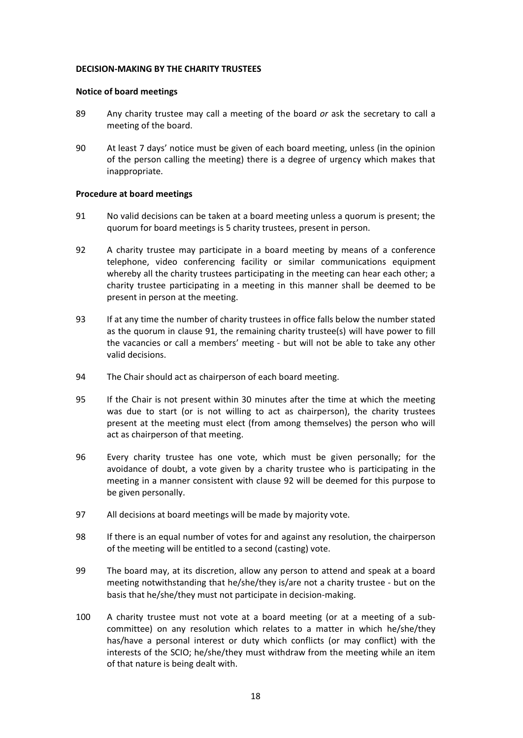### **DECISION-MAKING BY THE CHARITY TRUSTEES**

### **Notice of board meetings**

- 89 Any charity trustee may call a meeting of the board *or* ask the secretary to call a meeting of the board.
- 90 At least 7 days' notice must be given of each board meeting, unless (in the opinion of the person calling the meeting) there is a degree of urgency which makes that inappropriate.

# **Procedure at board meetings**

- 91 No valid decisions can be taken at a board meeting unless a quorum is present; the quorum for board meetings is 5 charity trustees, present in person.
- 92 A charity trustee may participate in a board meeting by means of a conference telephone, video conferencing facility or similar communications equipment whereby all the charity trustees participating in the meeting can hear each other; a charity trustee participating in a meeting in this manner shall be deemed to be present in person at the meeting.
- 93 If at any time the number of charity trustees in office falls below the number stated as the quorum in clause 91, the remaining charity trustee(s) will have power to fill the vacancies or call a members' meeting - but will not be able to take any other valid decisions.
- 94 The Chair should act as chairperson of each board meeting.
- 95 If the Chair is not present within 30 minutes after the time at which the meeting was due to start (or is not willing to act as chairperson), the charity trustees present at the meeting must elect (from among themselves) the person who will act as chairperson of that meeting.
- 96 Every charity trustee has one vote, which must be given personally; for the avoidance of doubt, a vote given by a charity trustee who is participating in the meeting in a manner consistent with clause 92 will be deemed for this purpose to be given personally.
- 97 All decisions at board meetings will be made by majority vote.
- 98 If there is an equal number of votes for and against any resolution, the chairperson of the meeting will be entitled to a second (casting) vote.
- 99 The board may, at its discretion, allow any person to attend and speak at a board meeting notwithstanding that he/she/they is/are not a charity trustee - but on the basis that he/she/they must not participate in decision-making.
- 100 A charity trustee must not vote at a board meeting (or at a meeting of a subcommittee) on any resolution which relates to a matter in which he/she/they has/have a personal interest or duty which conflicts (or may conflict) with the interests of the SCIO; he/she/they must withdraw from the meeting while an item of that nature is being dealt with.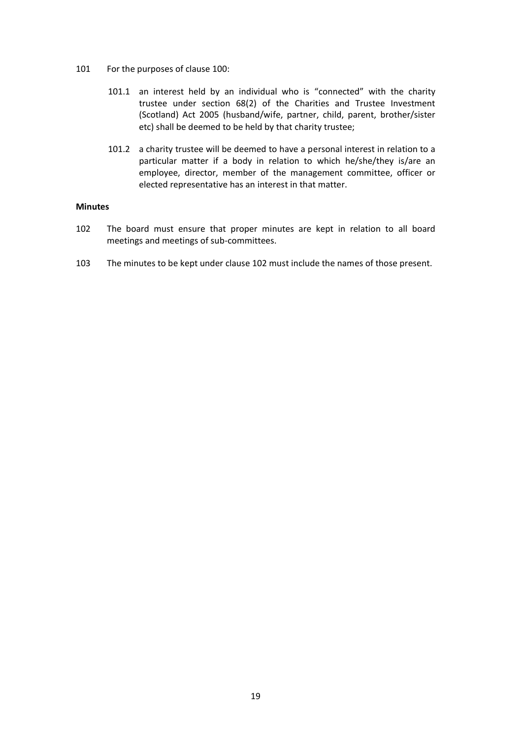- 101 For the purposes of clause 100:
	- 101.1 an interest held by an individual who is "connected" with the charity trustee under section 68(2) of the Charities and Trustee Investment (Scotland) Act 2005 (husband/wife, partner, child, parent, brother/sister etc) shall be deemed to be held by that charity trustee;
	- 101.2 a charity trustee will be deemed to have a personal interest in relation to a particular matter if a body in relation to which he/she/they is/are an employee, director, member of the management committee, officer or elected representative has an interest in that matter.

### **Minutes**

- 102 The board must ensure that proper minutes are kept in relation to all board meetings and meetings of sub-committees.
- 103 The minutes to be kept under clause 102 must include the names of those present.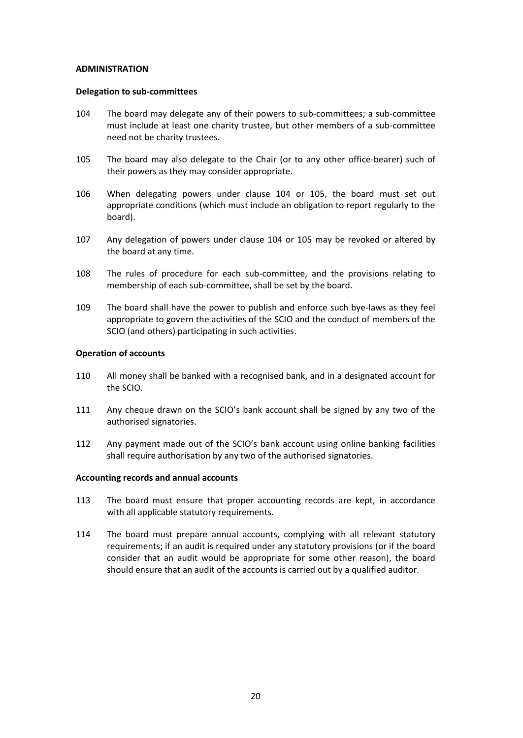### **ADMINISTRATION**

### **Delegation to sub-committees**

- 104 The board may delegate any of their powers to sub-committees; a sub-committee must include at least one charity trustee, but other members of a sub-committee need not be charity trustees.
- 105 The board may also delegate to the Chair (or to any other office-bearer) such of their powers as they may consider appropriate.
- 106 When delegating powers under clause 104 or 105, the board must set out appropriate conditions (which must include an obligation to report regularly to the board).
- 107 Any delegation of powers under clause 104 or 105 may be revoked or altered by the board at any time.
- 108 The rules of procedure for each sub-committee, and the provisions relating to membership of each sub-committee, shall be set by the board.
- 109 The board shall have the power to publish and enforce such bye-laws as they feel appropriate to govern the activities of the SCIO and the conduct of members of the SCIO (and others) participating in such activities.

# **Operation of accounts**

- 110 All money shall be banked with a recognised bank, and in a designated account for the SCIO.
- 111 Any cheque drawn on the SCIO's bank account shall be signed by any two of the authorised signatories.
- 112 Any payment made out of the SCIO's bank account using online banking facilities shall require authorisation by any two of the authorised signatories.

# **Accounting records and annual accounts**

- 113 The board must ensure that proper accounting records are kept, in accordance with all applicable statutory requirements.
- 114 The board must prepare annual accounts, complying with all relevant statutory requirements; if an audit is required under any statutory provisions (or if the board consider that an audit would be appropriate for some other reason), the board should ensure that an audit of the accounts is carried out by a qualified auditor.